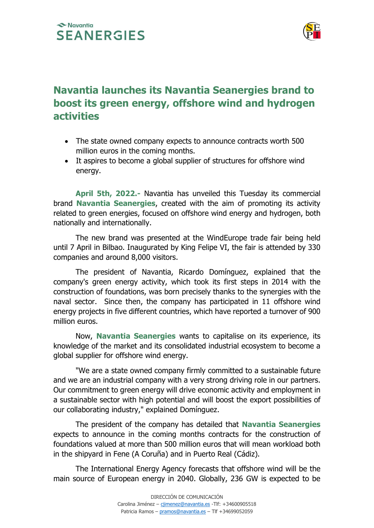## Navantia **SEANERGIES**



# Navantia launches its Navantia Seanergies brand to boost its green energy, offshore wind and hydrogen activities

- The state owned company expects to announce contracts worth 500 million euros in the coming months.
- It aspires to become a global supplier of structures for offshore wind energy.

 April 5th, 2022.- Navantia has unveiled this Tuesday its commercial brand Navantia Seanergies, created with the aim of promoting its activity related to green energies, focused on offshore wind energy and hydrogen, both nationally and internationally.

 The new brand was presented at the WindEurope trade fair being held until 7 April in Bilbao. Inaugurated by King Felipe VI, the fair is attended by 330 companies and around 8,000 visitors.

 The president of Navantia, Ricardo Domínguez, explained that the company's green energy activity, which took its first steps in 2014 with the construction of foundations, was born precisely thanks to the synergies with the naval sector. Since then, the company has participated in 11 offshore wind energy projects in five different countries, which have reported a turnover of 900 million euros.

 Now, Navantia Seanergies wants to capitalise on its experience, its knowledge of the market and its consolidated industrial ecosystem to become a global supplier for offshore wind energy.

 "We are a state owned company firmly committed to a sustainable future and we are an industrial company with a very strong driving role in our partners. Our commitment to green energy will drive economic activity and employment in a sustainable sector with high potential and will boost the export possibilities of our collaborating industry," explained Domínguez.

The president of the company has detailed that **Navantia Seanergies** expects to announce in the coming months contracts for the construction of foundations valued at more than 500 million euros that will mean workload both in the shipyard in Fene (A Coruña) and in Puerto Real (Cádiz).

 The International Energy Agency forecasts that offshore wind will be the main source of European energy in 2040. Globally, 236 GW is expected to be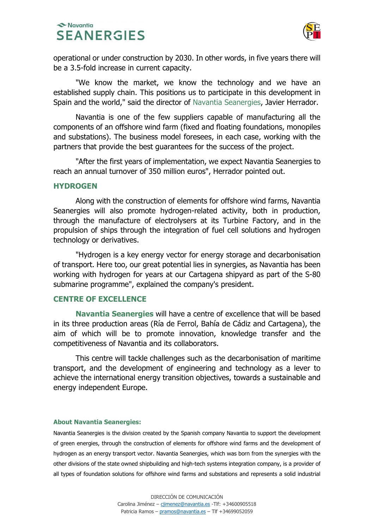## Navantia **SEANERGIES**



operational or under construction by 2030. In other words, in five years there will be a 3.5-fold increase in current capacity.

 "We know the market, we know the technology and we have an established supply chain. This positions us to participate in this development in Spain and the world," said the director of Navantia Seanergies, Javier Herrador.

 Navantia is one of the few suppliers capable of manufacturing all the components of an offshore wind farm (fixed and floating foundations, monopiles and substations). The business model foresees, in each case, working with the partners that provide the best guarantees for the success of the project.

 "After the first years of implementation, we expect Navantia Seanergies to reach an annual turnover of 350 million euros", Herrador pointed out.

#### **HYDROGEN**

 Along with the construction of elements for offshore wind farms, Navantia Seanergies will also promote hydrogen-related activity, both in production, through the manufacture of electrolysers at its Turbine Factory, and in the propulsion of ships through the integration of fuel cell solutions and hydrogen technology or derivatives.

 "Hydrogen is a key energy vector for energy storage and decarbonisation of transport. Here too, our great potential lies in synergies, as Navantia has been working with hydrogen for years at our Cartagena shipyard as part of the S-80 submarine programme", explained the company's president.

### CENTRE OF EXCELLENCE

Navantia Seanergies will have a centre of excellence that will be based in its three production areas (Ría de Ferrol, Bahía de Cádiz and Cartagena), the aim of which will be to promote innovation, knowledge transfer and the competitiveness of Navantia and its collaborators.

 This centre will tackle challenges such as the decarbonisation of maritime transport, and the development of engineering and technology as a lever to achieve the international energy transition objectives, towards a sustainable and energy independent Europe.

#### About Navantia Seanergies:

Navantia Seanergies is the division created by the Spanish company Navantia to support the development of green energies, through the construction of elements for offshore wind farms and the development of hydrogen as an energy transport vector. Navantia Seanergies, which was born from the synergies with the other divisions of the state owned shipbuilding and high-tech systems integration company, is a provider of all types of foundation solutions for offshore wind farms and substations and represents a solid industrial